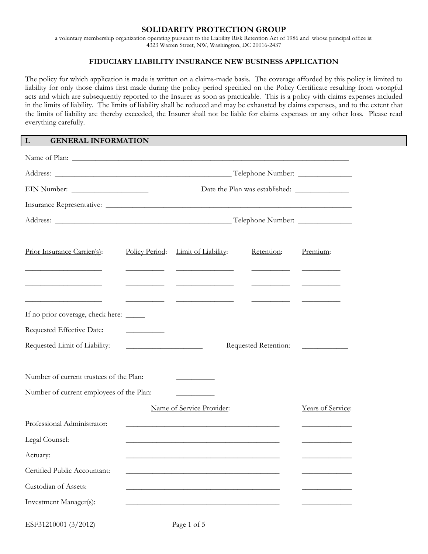#### **SOLIDARITY PROTECTION GROUP**

a voluntary membership organization operating pursuant to the Liability Risk Retention Act of 1986 and whose principal office is: 4323 Warren Street, NW, Washington, DC 20016-2437

## **FIDUCIARY LIABILITY INSURANCE NEW BUSINESS APPLICATION**

The policy for which application is made is written on a claims-made basis. The coverage afforded by this policy is limited to liability for only those claims first made during the policy period specified on the Policy Certificate resulting from wrongful acts and which are subsequently reported to the Insurer as soon as practicable. This is a policy with claims expenses included in the limits of liability. The limits of liability shall be reduced and may be exhausted by claims expenses, and to the extent that the limits of liability are thereby exceeded, the Insurer shall not be liable for claims expenses or any other loss. Please read everything carefully.

#### **I. GENERAL INFORMATION**

| Prior Insurance Carrier(s):                                      | Policy Period:                                       | Limit of Liability:                                                                                                  | Retention:                                                                                                                                                                                                                                                                                       | Premium:                                       |  |  |
|------------------------------------------------------------------|------------------------------------------------------|----------------------------------------------------------------------------------------------------------------------|--------------------------------------------------------------------------------------------------------------------------------------------------------------------------------------------------------------------------------------------------------------------------------------------------|------------------------------------------------|--|--|
| <u> 1989 - Jan James James Barnett, fransk politik (d. 1989)</u> | <u> 1989 - Johann Harry Barn, mars ar breist gan</u> |                                                                                                                      | <u> Alexandria de la contextual de la contextual de la contextual de la contextual de la contextual de la contextual de la contextual de la contextual de la contextual de la contextual de la contextual de la contextual de la</u><br><u> Alexandria de la contenentación de la contenenta</u> |                                                |  |  |
| If no prior coverage, check here: _____                          |                                                      | <u> Alexandria de la contenta de la contenta de la contenta de la contenta de la contenta de la contenta de la c</u> | <u>and the state of the state of the state</u>                                                                                                                                                                                                                                                   |                                                |  |  |
| Requested Effective Date:                                        | <u>and the state of the state of the state</u>       |                                                                                                                      |                                                                                                                                                                                                                                                                                                  |                                                |  |  |
| Requested Limit of Liability:                                    |                                                      |                                                                                                                      |                                                                                                                                                                                                                                                                                                  |                                                |  |  |
| Number of current trustees of the Plan:                          |                                                      |                                                                                                                      |                                                                                                                                                                                                                                                                                                  |                                                |  |  |
| Number of current employees of the Plan:                         |                                                      |                                                                                                                      |                                                                                                                                                                                                                                                                                                  |                                                |  |  |
|                                                                  |                                                      | Name of Service Provider:                                                                                            |                                                                                                                                                                                                                                                                                                  | Years of Service:                              |  |  |
| Professional Administrator:                                      |                                                      | <u> 1989 - Johann Stoff, amerikansk politiker (d. 1989)</u>                                                          |                                                                                                                                                                                                                                                                                                  |                                                |  |  |
| Legal Counsel:                                                   |                                                      |                                                                                                                      |                                                                                                                                                                                                                                                                                                  | <u> 1989 - Johann Stoff, Amerikaansk konst</u> |  |  |
| Actuary:                                                         |                                                      |                                                                                                                      |                                                                                                                                                                                                                                                                                                  |                                                |  |  |
| Certified Public Accountant:                                     |                                                      |                                                                                                                      |                                                                                                                                                                                                                                                                                                  |                                                |  |  |
| Custodian of Assets:                                             |                                                      |                                                                                                                      |                                                                                                                                                                                                                                                                                                  |                                                |  |  |
| Investment Manager(s):                                           |                                                      |                                                                                                                      |                                                                                                                                                                                                                                                                                                  |                                                |  |  |

ESF31210001 (3/2012) Page 1 of 5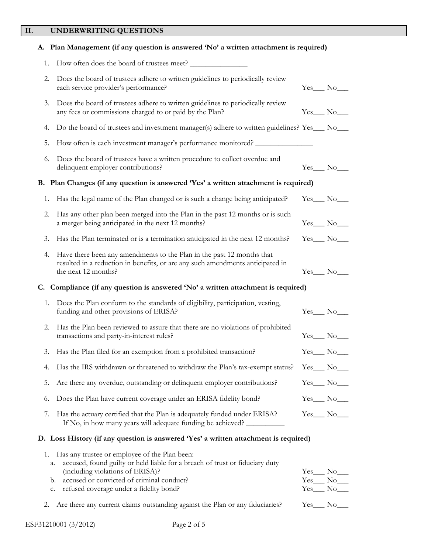# **II. UNDERWRITING QUESTIONS**

|          | A. Plan Management (if any question is answered 'No' a written attachment is required)                                                                                         |                                  |
|----------|--------------------------------------------------------------------------------------------------------------------------------------------------------------------------------|----------------------------------|
| 1.       |                                                                                                                                                                                |                                  |
| 2.       | Does the board of trustees adhere to written guidelines to periodically review<br>each service provider's performance?                                                         | $Yes$ No                         |
| 3.       | Does the board of trustees adhere to written guidelines to periodically review<br>any fees or commissions charged to or paid by the Plan?                                      | $Yes_$ No                        |
| 4.       | Do the board of trustees and investment manager(s) adhere to written guidelines? Yes___ No___                                                                                  |                                  |
| 5.       | How often is each investment manager's performance monitored?                                                                                                                  |                                  |
| 6.       | Does the board of trustees have a written procedure to collect overdue and<br>delinquent employer contributions?                                                               | $Yes$ No $\qquad$                |
|          | B. Plan Changes (if any question is answered 'Yes' a written attachment is required)                                                                                           |                                  |
| 1.       | Has the legal name of the Plan changed or is such a change being anticipated?                                                                                                  | $Yes$ No $\_\_$                  |
| 2.       | Has any other plan been merged into the Plan in the past 12 months or is such<br>a merger being anticipated in the next 12 months?                                             |                                  |
| 3.       | Has the Plan terminated or is a termination anticipated in the next 12 months?                                                                                                 | $Yes$ No $\_\_$                  |
| 4.       | Have there been any amendments to the Plan in the past 12 months that<br>resulted in a reduction in benefits, or are any such amendments anticipated in<br>the next 12 months? | $Yes$ No_______                  |
|          | C. Compliance (if any question is answered 'No' a written attachment is required)                                                                                              |                                  |
| 1.       | Does the Plan conform to the standards of eligibility, participation, vesting,<br>funding and other provisions of ERISA?                                                       | $Yes$ No $\_\_$                  |
| 2.       | Has the Plan been reviewed to assure that there are no violations of prohibited<br>transactions and party-in-interest rules?                                                   | $Yes$ No $\_\_$                  |
| 3.       | Has the Plan filed for an exemption from a prohibited transaction?                                                                                                             | Yes No                           |
| 4.       | Has the IRS withdrawn or threatened to withdraw the Plan's tax-exempt status?                                                                                                  | $Yes$ No $\_\_$                  |
| 5.       | Are there any overdue, outstanding or delinquent employer contributions?                                                                                                       | $Yes$ No $\_\_$                  |
| 6.       | Does the Plan have current coverage under an ERISA fidelity bond?                                                                                                              | $Yes$ No_______                  |
| 7.       | Has the actuary certified that the Plan is adequately funded under ERISA?<br>If No, in how many years will adequate funding be achieved?                                       | $Yes$ No_                        |
|          | D. Loss History (if any question is answered 'Yes' a written attachment is required)                                                                                           |                                  |
| 1.<br>a. | Has any trustee or employee of the Plan been:<br>accused, found guilty or held liable for a breach of trust or fiduciary duty<br>(including violations of ERISA)?              |                                  |
| b.       | accused or convicted of criminal conduct?<br>refused coverage under a fidelity bond?                                                                                           | $Yes$ No______<br>$Yes$ No______ |
| c.       |                                                                                                                                                                                |                                  |

2. Are there any current claims outstanding against the Plan or any fiduciaries? Yes\_\_\_ No\_\_\_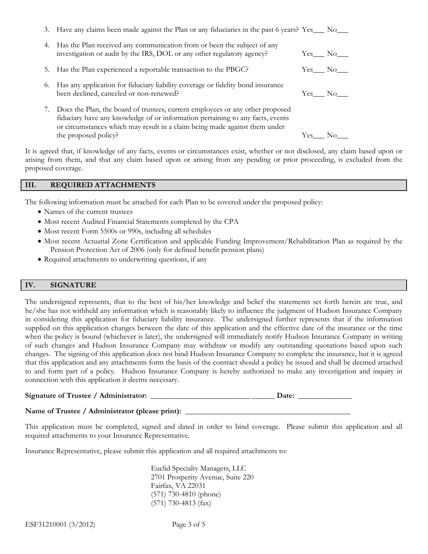|    | 3. Have any claims been made against the Plan or any fiduciaries in the past 6 years? Yes___ No___                                                                                                                                            |     |        |
|----|-----------------------------------------------------------------------------------------------------------------------------------------------------------------------------------------------------------------------------------------------|-----|--------|
| 4. | Has the Plan received any communication from or been the subject of any<br>investigation or audit by the IRS, DOL or any other regulatory agency?                                                                                             |     | Yes No |
|    | 5. Has the Plan experienced a reportable transaction to the PBGC?                                                                                                                                                                             |     | Yes No |
| 6. | Has any application for fiduciary liability coverage or fidelity bond insurance<br>been declined, canceled or non-renewed?                                                                                                                    |     | Yes No |
|    | Does the Plan, the board of trustees, current employees or any other proposed<br>fiduciary have any knowledge of or information pertaining to any facts, events<br>or circumstances which may result in a claim being made against them under |     |        |
|    | the proposed policy?                                                                                                                                                                                                                          | Yes | No     |

It is agreed that, if knowledge of any facts, events or circumstances exist, whether or not disclosed, any claim based upon or arising from them, and that any claim based upon or arising from any pending or prior proceeding, is excluded from the proposed coverage.

#### **III. REQUIRED ATTACHMENTS**

The following information must be attached for each Plan to be covered under the proposed policy:

- Names of the current trustees
- Most recent Audited Financial Statements completed by the CPA
- Most recent Form 5500s or 990s, including all schedules
- Most recent Actuarial Zone Certification and applicable Funding Improvement/Rehabilitation Plan as required by the Pension Protection Act of 2006 (only for defined benefit pension plans)
- Required attachments to underwriting questions, if any

#### **IV. SIGNATURE**

The undersigned represents, that to the best of his/her knowledge and belief the statements set forth herein are true, and he/she has not withheld any information which is reasonably likely to influence the judgment of Hudson Insurance Company in considering this application for fiduciary liability insurance. The undersigned further represents that if the information supplied on this application changes between the date of this application and the effective date of the insurance or the time when the policy is bound (whichever is later), the undersigned will immediately notify Hudson Insurance Company in writing of such changes and Hudson Insurance Company may withdraw or modify any outstanding quotations based upon such changes. The signing of this application does not bind Hudson Insurance Company to complete the insurance, but it is agreed that this application and any attachments form the basis of the contract should a policy be issued and shall be deemed attached to and form part of a policy. Hudson Insurance Company is hereby authorized to make any investigation and inquiry in connection with this application it deems necessary.

# **Signature of Trustee / Administrator:** \_\_\_\_\_\_\_\_\_\_\_\_\_\_\_\_\_\_\_\_\_\_\_\_\_\_ \_\_\_\_\_\_ **Date:** \_\_\_\_\_\_\_\_\_\_\_\_\_\_

## Name of Trustee / Administrator (please print): \_\_\_\_\_\_\_\_\_\_\_\_\_\_\_\_\_\_\_\_\_\_\_\_\_\_\_\_\_\_\_\_

This application must be completed, signed and dated in order to bind coverage. Please submit this application and all required attachments to your Insurance Representative.

Insurance Representative, please submit this application and all required attachments to:

 Euclid Specialty Managers, LLC 2701 Prosperity Avenue, Suite 220 Fairfax, VA 22031 (571) 730-4810 (phone) (571) 730-4813 (fax)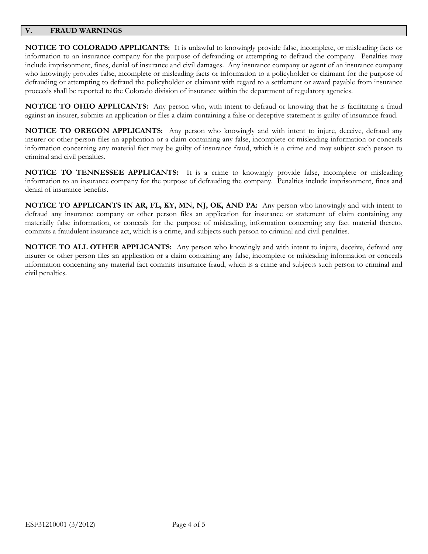## **V. FRAUD WARNINGS**

**NOTICE TO COLORADO APPLICANTS:** It is unlawful to knowingly provide false, incomplete, or misleading facts or information to an insurance company for the purpose of defrauding or attempting to defraud the company. Penalties may include imprisonment, fines, denial of insurance and civil damages. Any insurance company or agent of an insurance company who knowingly provides false, incomplete or misleading facts or information to a policyholder or claimant for the purpose of defrauding or attempting to defraud the policyholder or claimant with regard to a settlement or award payable from insurance proceeds shall be reported to the Colorado division of insurance within the department of regulatory agencies.

**NOTICE TO OHIO APPLICANTS:** Any person who, with intent to defraud or knowing that he is facilitating a fraud against an insurer, submits an application or files a claim containing a false or deceptive statement is guilty of insurance fraud.

**NOTICE TO OREGON APPLICANTS:** Any person who knowingly and with intent to injure, deceive, defraud any insurer or other person files an application or a claim containing any false, incomplete or misleading information or conceals information concerning any material fact may be guilty of insurance fraud, which is a crime and may subject such person to criminal and civil penalties.

**NOTICE TO TENNESSEE APPLICANTS:** It is a crime to knowingly provide false, incomplete or misleading information to an insurance company for the purpose of defrauding the company. Penalties include imprisonment, fines and denial of insurance benefits.

**NOTICE TO APPLICANTS IN AR, FL, KY, MN, NJ, OK, AND PA:** Any person who knowingly and with intent to defraud any insurance company or other person files an application for insurance or statement of claim containing any materially false information, or conceals for the purpose of misleading, information concerning any fact material thereto, commits a fraudulent insurance act, which is a crime, and subjects such person to criminal and civil penalties.

**NOTICE TO ALL OTHER APPLICANTS:** Any person who knowingly and with intent to injure, deceive, defraud any insurer or other person files an application or a claim containing any false, incomplete or misleading information or conceals information concerning any material fact commits insurance fraud, which is a crime and subjects such person to criminal and civil penalties.